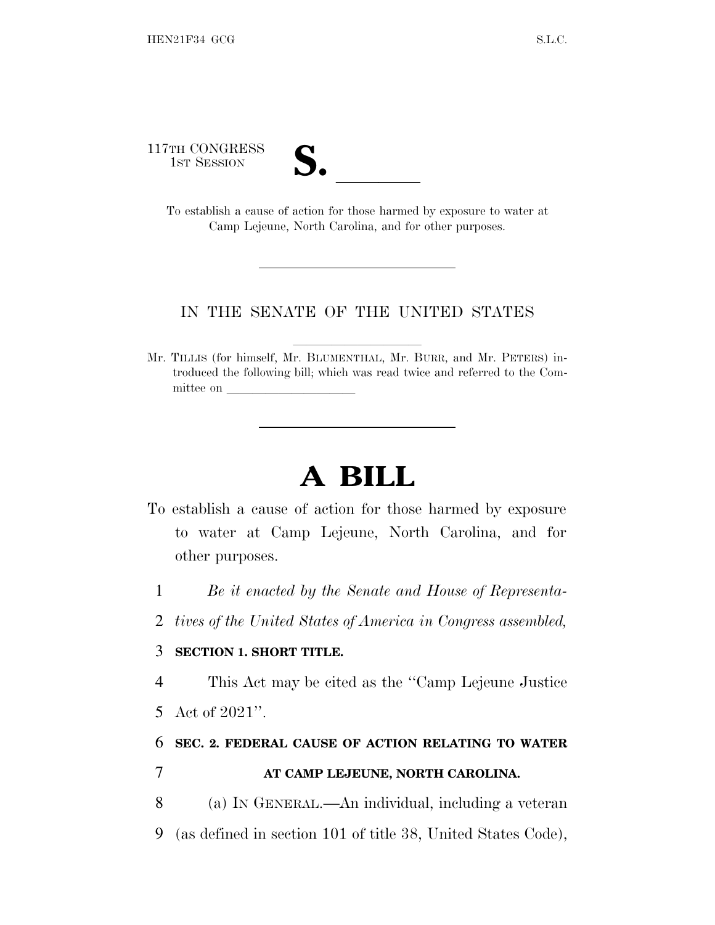117TH CONGRESS

| U  |  |
|----|--|
| V. |  |

TH CONGRESS<br>
1ST SESSION<br>
To establish a cause of action for those harmed by exposure to water at Camp Lejeune, North Carolina, and for other purposes.

## IN THE SENATE OF THE UNITED STATES

Mr. TILLIS (for himself, Mr. BLUMENTHAL, Mr. BURR, and Mr. PETERS) introduced the following bill; which was read twice and referred to the Committee on

## **A BILL**

- To establish a cause of action for those harmed by exposure to water at Camp Lejeune, North Carolina, and for other purposes.
	- 1 *Be it enacted by the Senate and House of Representa-*
	- 2 *tives of the United States of America in Congress assembled,*

## 3 **SECTION 1. SHORT TITLE.**

4 This Act may be cited as the ''Camp Lejeune Justice

5 Act of 2021''.

## 6 **SEC. 2. FEDERAL CAUSE OF ACTION RELATING TO WATER** 7 **AT CAMP LEJEUNE, NORTH CAROLINA.**

- 8 (a) I<sup>N</sup> GENERAL.—An individual, including a veteran
- 9 (as defined in section 101 of title 38, United States Code),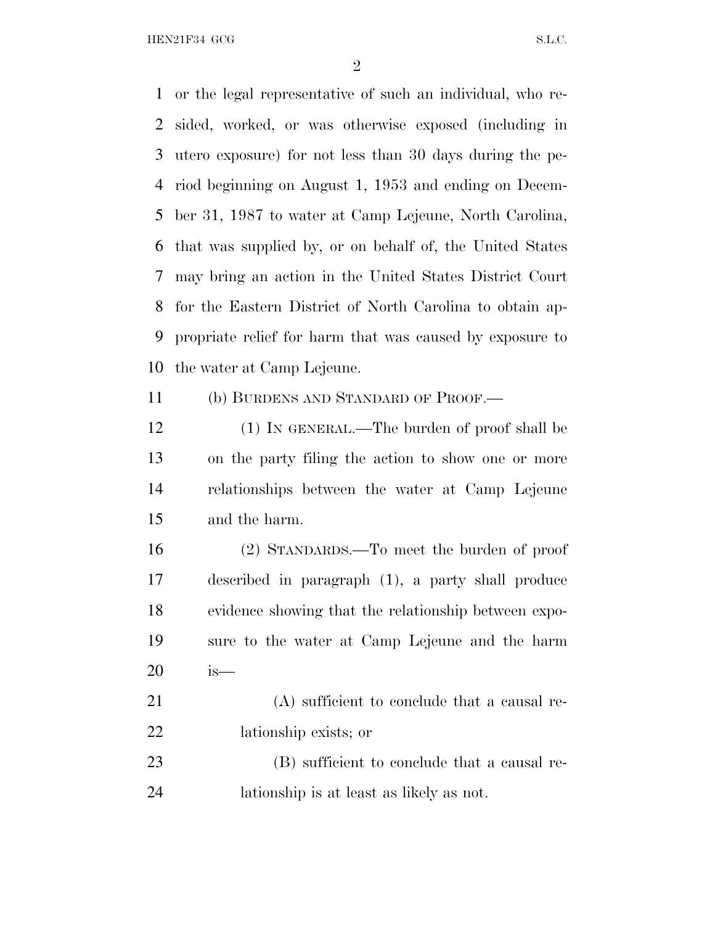HEN21F34 GCG S.L.C.

 or the legal representative of such an individual, who re- sided, worked, or was otherwise exposed (including in utero exposure) for not less than 30 days during the pe- riod beginning on August 1, 1953 and ending on Decem- ber 31, 1987 to water at Camp Lejeune, North Carolina, that was supplied by, or on behalf of, the United States may bring an action in the United States District Court for the Eastern District of North Carolina to obtain ap- propriate relief for harm that was caused by exposure to the water at Camp Lejeune.

(b) BURDENS AND STANDARD OF PROOF.—

12 (1) IN GENERAL.—The burden of proof shall be on the party filing the action to show one or more relationships between the water at Camp Lejeune and the harm.

 (2) STANDARDS.—To meet the burden of proof described in paragraph (1), a party shall produce evidence showing that the relationship between expo- sure to the water at Camp Lejeune and the harm is—

21 (A) sufficient to conclude that a causal re-lationship exists; or

23 (B) sufficient to conclude that a causal re-lationship is at least as likely as not.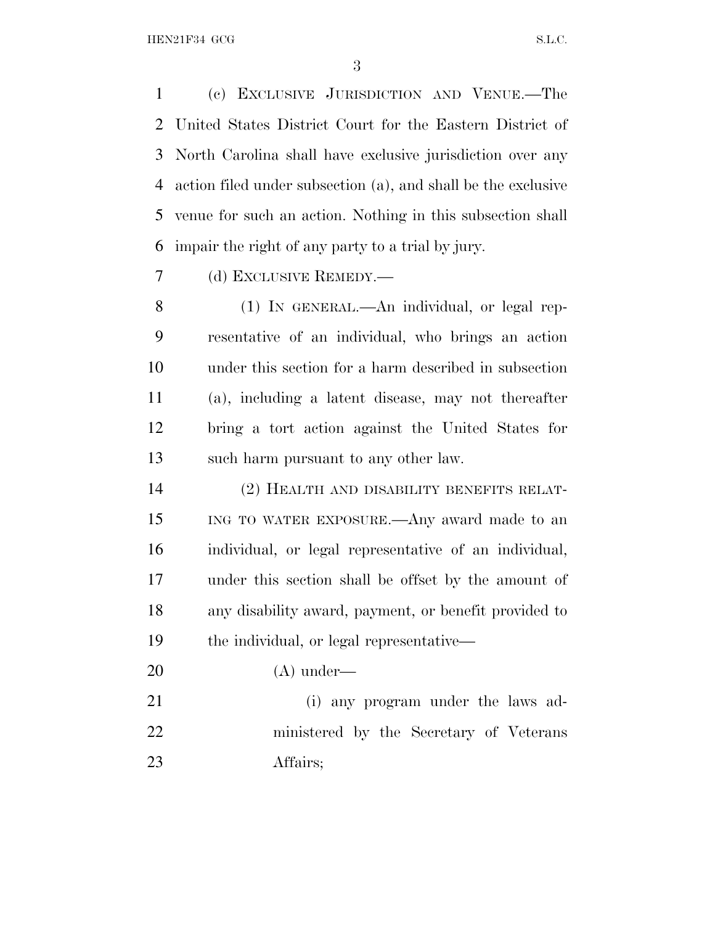(c) EXCLUSIVE JURISDICTION AND VENUE.—The United States District Court for the Eastern District of North Carolina shall have exclusive jurisdiction over any action filed under subsection (a), and shall be the exclusive venue for such an action. Nothing in this subsection shall impair the right of any party to a trial by jury.

(d) EXCLUSIVE REMEDY.—

 (1) IN GENERAL.—An individual, or legal rep- resentative of an individual, who brings an action under this section for a harm described in subsection (a), including a latent disease, may not thereafter bring a tort action against the United States for such harm pursuant to any other law.

 (2) HEALTH AND DISABILITY BENEFITS RELAT- ING TO WATER EXPOSURE.—Any award made to an individual, or legal representative of an individual, under this section shall be offset by the amount of any disability award, payment, or benefit provided to the individual, or legal representative—

(A) under—

 (i) any program under the laws ad- ministered by the Secretary of Veterans Affairs;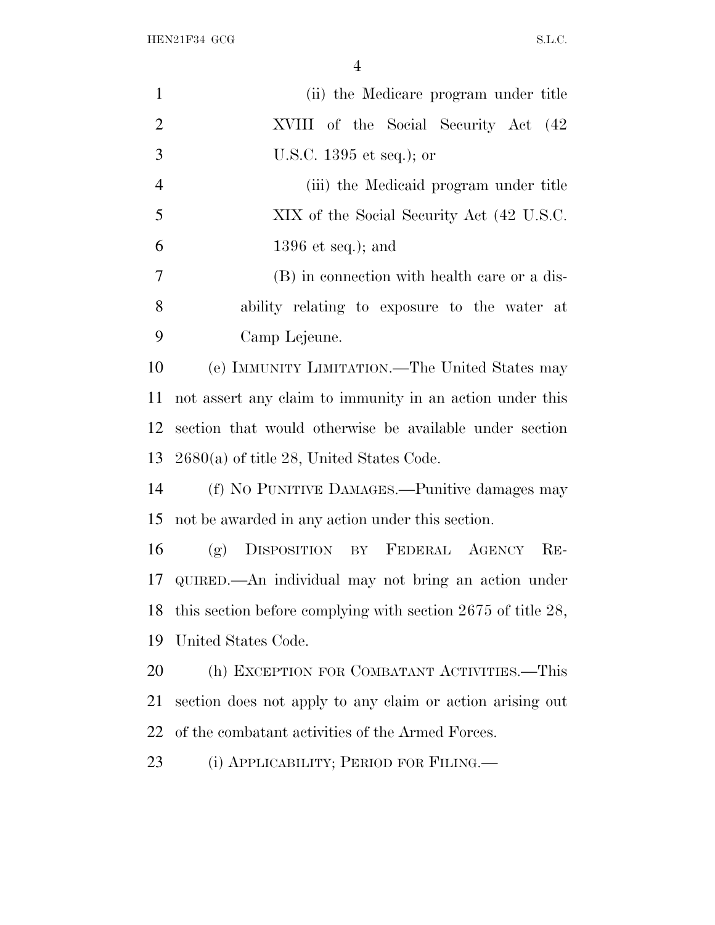$HEN21F34$  GCG  $SL.C.$ 

| $\mathbf{1}$   | (ii) the Medicare program under title                           |
|----------------|-----------------------------------------------------------------|
| $\overline{2}$ | XVIII of the Social Security Act (42)                           |
| 3              | U.S.C. $1395$ et seq.); or                                      |
| $\overline{4}$ | (iii) the Medicaid program under title                          |
| 5              | XIX of the Social Security Act (42 U.S.C.                       |
| 6              | $1396$ et seq.); and                                            |
| $\tau$         | (B) in connection with health care or a dis-                    |
| 8              | ability relating to exposure to the water at                    |
| 9              | Camp Lejeune.                                                   |
| 10             | (e) IMMUNITY LIMITATION.—The United States may                  |
| 11             | not assert any claim to immunity in an action under this        |
| 12             | section that would otherwise be available under section         |
| 13             | $2680(a)$ of title 28, United States Code.                      |
| 14             | (f) No PUNITIVE DAMAGES.—Punitive damages may                   |
| 15             | not be awarded in any action under this section.                |
| 16             | (g) DISPOSITION BY FEDERAL AGENCY RE-                           |
| 17             | QUIRED.—An individual may not bring an action under             |
|                | 18 this section before complying with section 2675 of title 28, |
| 19             | United States Code.                                             |
| 20             | (h) EXCEPTION FOR COMBATANT ACTIVITIES.-This                    |
| 21             | section does not apply to any claim or action arising out       |
| 22             | of the combatant activities of the Armed Forces.                |
| 23             | (i) APPLICABILITY; PERIOD FOR FILING.                           |
|                |                                                                 |